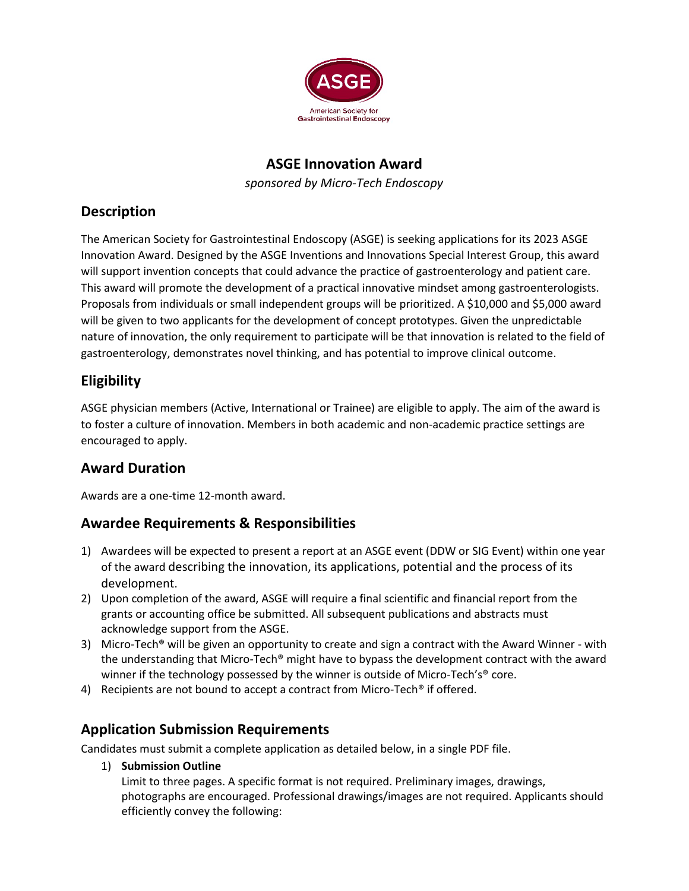

### **ASGE Innovation Award**

*sponsored by Micro-Tech Endoscopy*

### **Description**

The American Society for Gastrointestinal Endoscopy (ASGE) is seeking applications for its 2023 ASGE Innovation Award. Designed by the ASGE Inventions and Innovations Special Interest Group, this award will support invention concepts that could advance the practice of gastroenterology and patient care. This award will promote the development of a practical innovative mindset among gastroenterologists. Proposals from individuals or small independent groups will be prioritized. A \$10,000 and \$5,000 award will be given to two applicants for the development of concept prototypes. Given the unpredictable nature of innovation, the only requirement to participate will be that innovation is related to the field of gastroenterology, demonstrates novel thinking, and has potential to improve clinical outcome.

# **Eligibility**

ASGE physician members (Active, International or Trainee) are eligible to apply. The aim of the award is to foster a culture of innovation. Members in both academic and non-academic practice settings are encouraged to apply.

### **Award Duration**

Awards are a one-time 12-month award.

### **Awardee Requirements & Responsibilities**

- 1) Awardees will be expected to present a report at an ASGE event (DDW or SIG Event) within one year of the award describing the innovation, its applications, potential and the process of its development.
- 2) Upon completion of the award, ASGE will require a final scientific and financial report from the grants or accounting office be submitted. All subsequent publications and abstracts must acknowledge support from the ASGE.
- 3) Micro-Tech<sup>®</sup> will be given an opportunity to create and sign a contract with the Award Winner with the understanding that Micro-Tech® might have to bypass the development contract with the award winner if the technology possessed by the winner is outside of Micro-Tech's<sup>®</sup> core.
- 4) Recipients are not bound to accept a contract from Micro-Tech® if offered.

### **Application Submission Requirements**

Candidates must submit a complete application as detailed below, in a single PDF file.

1) **Submission Outline**

Limit to three pages. A specific format is not required. Preliminary images, drawings, photographs are encouraged. Professional drawings/images are not required. Applicants should efficiently convey the following: